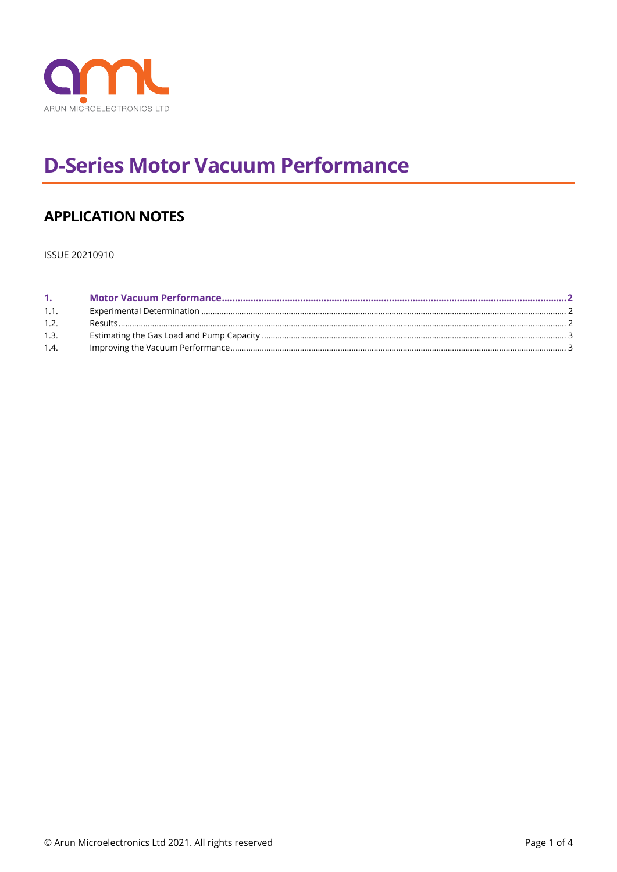

# **D-Series Motor Vacuum Performance**

## **APPLICATION NOTES**

ISSUE 20210910

| 1 <sup>1</sup> |  |
|----------------|--|
| 1.1.           |  |
| 1.2.           |  |
| 1.3.           |  |
| 1.4.           |  |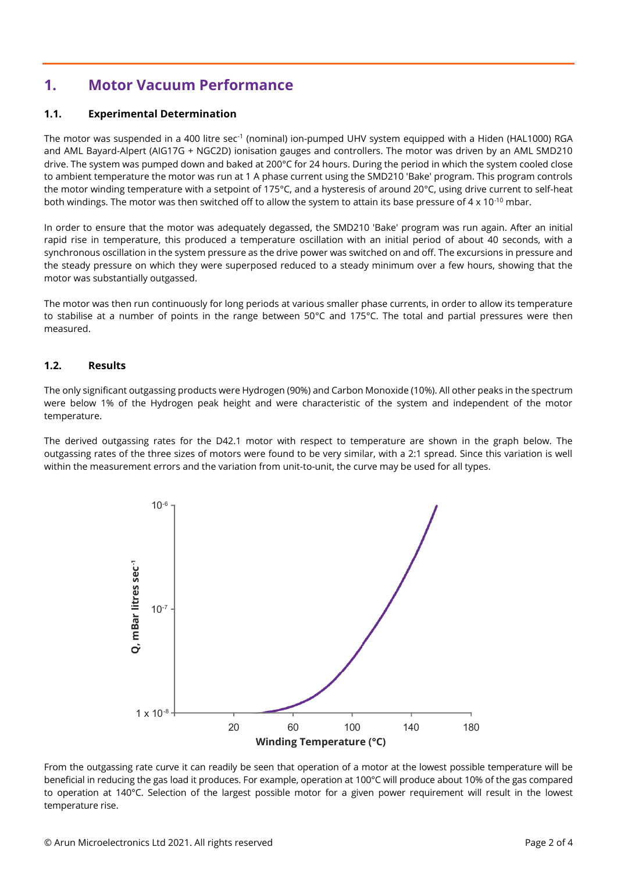### <span id="page-1-0"></span>**1. Motor Vacuum Performance**

#### <span id="page-1-1"></span>**1.1. Experimental Determination**

The motor was suspended in a 400 litre sec<sup>-1</sup> (nominal) ion-pumped UHV system equipped with a Hiden (HAL1000) RGA and AML Bayard-Alpert (AIG17G + NGC2D) ionisation gauges and controllers. The motor was driven by an AML SMD210 drive. The system was pumped down and baked at 200°C for 24 hours. During the period in which the system cooled close to ambient temperature the motor was run at 1 A phase current using the SMD210 'Bake' program. This program controls the motor winding temperature with a setpoint of 175°C, and a hysteresis of around 20°C, using drive current to self-heat both windings. The motor was then switched off to allow the system to attain its base pressure of 4 x 10<sup>-10</sup> mbar.

In order to ensure that the motor was adequately degassed, the SMD210 'Bake' program was run again. After an initial rapid rise in temperature, this produced a temperature oscillation with an initial period of about 40 seconds, with a synchronous oscillation in the system pressure as the drive power was switched on and off. The excursions in pressure and the steady pressure on which they were superposed reduced to a steady minimum over a few hours, showing that the motor was substantially outgassed.

The motor was then run continuously for long periods at various smaller phase currents, in order to allow its temperature to stabilise at a number of points in the range between 50°C and 175°C. The total and partial pressures were then measured.

#### <span id="page-1-2"></span>**1.2. Results**

The only significant outgassing products were Hydrogen (90%) and Carbon Monoxide (10%). All other peaks in the spectrum were below 1% of the Hydrogen peak height and were characteristic of the system and independent of the motor temperature.

The derived outgassing rates for the D42.1 motor with respect to temperature are shown in the graph below. The outgassing rates of the three sizes of motors were found to be very similar, with a 2:1 spread. Since this variation is well within the measurement errors and the variation from unit-to-unit, the curve may be used for all types.



From the outgassing rate curve it can readily be seen that operation of a motor at the lowest possible temperature will be beneficial in reducing the gas load it produces. For example, operation at 100°C will produce about 10% of the gas compared to operation at 140°C. Selection of the largest possible motor for a given power requirement will result in the lowest temperature rise.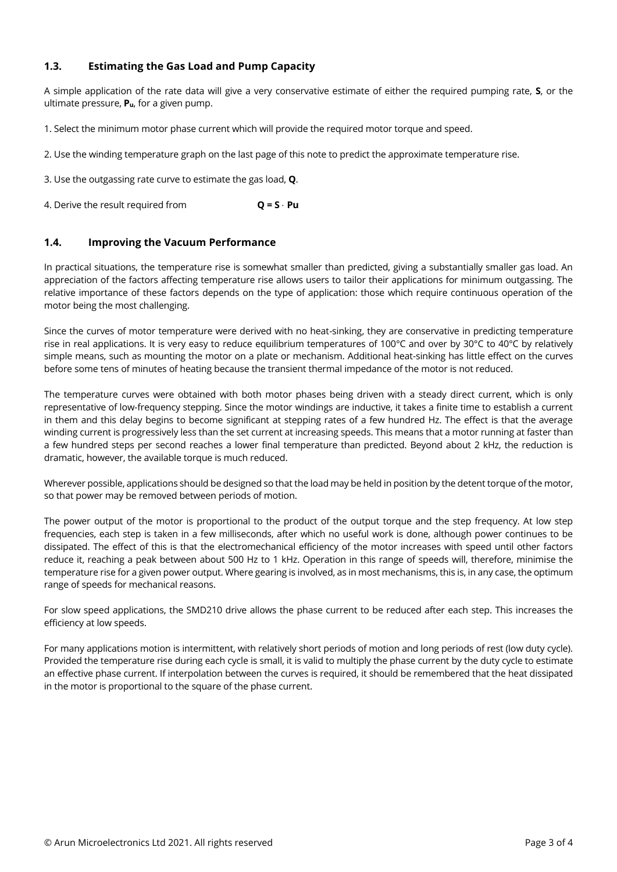#### <span id="page-2-0"></span>**1.3. Estimating the Gas Load and Pump Capacity**

A simple application of the rate data will give a very conservative estimate of either the required pumping rate, **S**, or the ultimate pressure, **Pu**, for a given pump.

1. Select the minimum motor phase current which will provide the required motor torque and speed.

2. Use the winding temperature graph on the last page of this note to predict the approximate temperature rise.

3. Use the outgassing rate curve to estimate the gas load, **Q**.

4. Derive the result required from **Q = S** ⋅ **Pu**

#### <span id="page-2-1"></span>**1.4. Improving the Vacuum Performance**

In practical situations, the temperature rise is somewhat smaller than predicted, giving a substantially smaller gas load. An appreciation of the factors affecting temperature rise allows users to tailor their applications for minimum outgassing. The relative importance of these factors depends on the type of application: those which require continuous operation of the motor being the most challenging.

Since the curves of motor temperature were derived with no heat-sinking, they are conservative in predicting temperature rise in real applications. It is very easy to reduce equilibrium temperatures of 100°C and over by 30°C to 40°C by relatively simple means, such as mounting the motor on a plate or mechanism. Additional heat-sinking has little effect on the curves before some tens of minutes of heating because the transient thermal impedance of the motor is not reduced.

The temperature curves were obtained with both motor phases being driven with a steady direct current, which is only representative of low-frequency stepping. Since the motor windings are inductive, it takes a finite time to establish a current in them and this delay begins to become significant at stepping rates of a few hundred Hz. The effect is that the average winding current is progressively less than the set current at increasing speeds. This means that a motor running at faster than a few hundred steps per second reaches a lower final temperature than predicted. Beyond about 2 kHz, the reduction is dramatic, however, the available torque is much reduced.

Wherever possible, applications should be designed so that the load may be held in position by the detent torque of the motor, so that power may be removed between periods of motion.

The power output of the motor is proportional to the product of the output torque and the step frequency. At low step frequencies, each step is taken in a few milliseconds, after which no useful work is done, although power continues to be dissipated. The effect of this is that the electromechanical efficiency of the motor increases with speed until other factors reduce it, reaching a peak between about 500 Hz to 1 kHz. Operation in this range of speeds will, therefore, minimise the temperature rise for a given power output. Where gearing is involved, as in most mechanisms, this is, in any case, the optimum range of speeds for mechanical reasons.

For slow speed applications, the SMD210 drive allows the phase current to be reduced after each step. This increases the efficiency at low speeds.

For many applications motion is intermittent, with relatively short periods of motion and long periods of rest (low duty cycle). Provided the temperature rise during each cycle is small, it is valid to multiply the phase current by the duty cycle to estimate an effective phase current. If interpolation between the curves is required, it should be remembered that the heat dissipated in the motor is proportional to the square of the phase current.